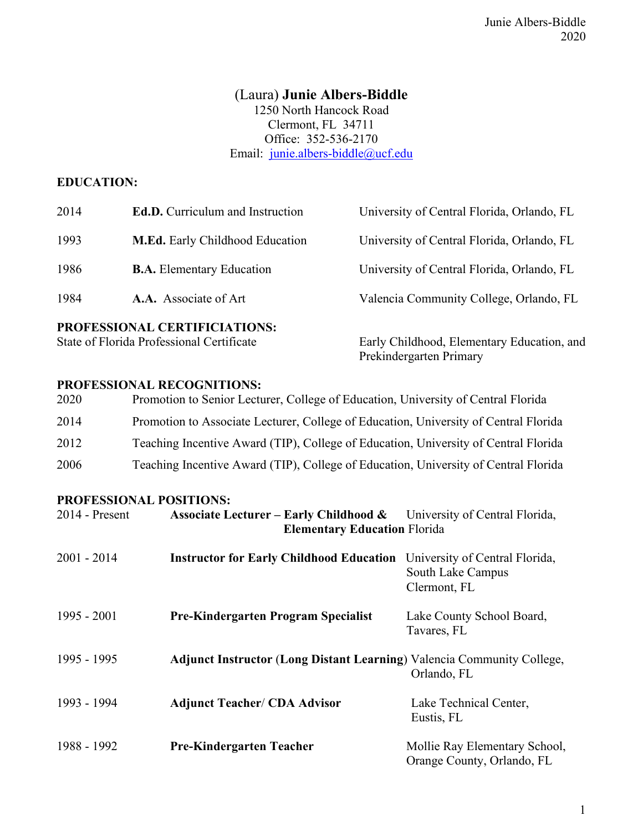# (Laura) **Junie Albers-Biddle**

1250 North Hancock Road Clermont, FL 34711 Office: 352-536-2170 Email: [junie.albers-biddle@ucf.edu](mailto:junie.albers-biddle@ucf.edu)

# **EDUCATION:**

| PROFESSIONAL CERTIFICIATIONS:<br>Early Childhood, Elementary Education, and<br>State of Florida Professional Certificate |                                         |                                            |
|--------------------------------------------------------------------------------------------------------------------------|-----------------------------------------|--------------------------------------------|
| 1984                                                                                                                     | A.A. Associate of Art                   | Valencia Community College, Orlando, FL    |
| 1986                                                                                                                     | <b>B.A.</b> Elementary Education        | University of Central Florida, Orlando, FL |
| 1993                                                                                                                     | <b>M.Ed.</b> Early Childhood Education  | University of Central Florida, Orlando, FL |
| 2014                                                                                                                     | <b>Ed.D.</b> Curriculum and Instruction | University of Central Florida, Orlando, FL |

Prekindergarten Primary

### **PROFESSIONAL RECOGNITIONS:**

| 2020 | Promotion to Senior Lecturer, College of Education, University of Central Florida    |
|------|--------------------------------------------------------------------------------------|
| 2014 | Promotion to Associate Lecturer, College of Education, University of Central Florida |
| 2012 | Teaching Incentive Award (TIP), College of Education, University of Central Florida  |
| 2006 | Teaching Incentive Award (TIP), College of Education, University of Central Florida  |

#### **PROFESSIONAL POSITIONS:**

| $2014$ - Present | <b>Associate Lecturer – Early Childhood &amp;</b> University of Central Florida,<br><b>Elementary Education Florida</b> |                                                                     |
|------------------|-------------------------------------------------------------------------------------------------------------------------|---------------------------------------------------------------------|
| $2001 - 2014$    | <b>Instructor for Early Childhood Education</b>                                                                         | University of Central Florida,<br>South Lake Campus<br>Clermont, FL |
| $1995 - 2001$    | <b>Pre-Kindergarten Program Specialist</b>                                                                              | Lake County School Board,<br>Tavares, FL                            |
| 1995 - 1995      | <b>Adjunct Instructor (Long Distant Learning)</b> Valencia Community College,                                           | Orlando, FL                                                         |
| 1993 - 1994      | <b>Adjunct Teacher/ CDA Advisor</b>                                                                                     | Lake Technical Center,<br>Eustis, FL                                |
| 1988 - 1992      | <b>Pre-Kindergarten Teacher</b>                                                                                         | Mollie Ray Elementary School,<br>Orange County, Orlando, FL         |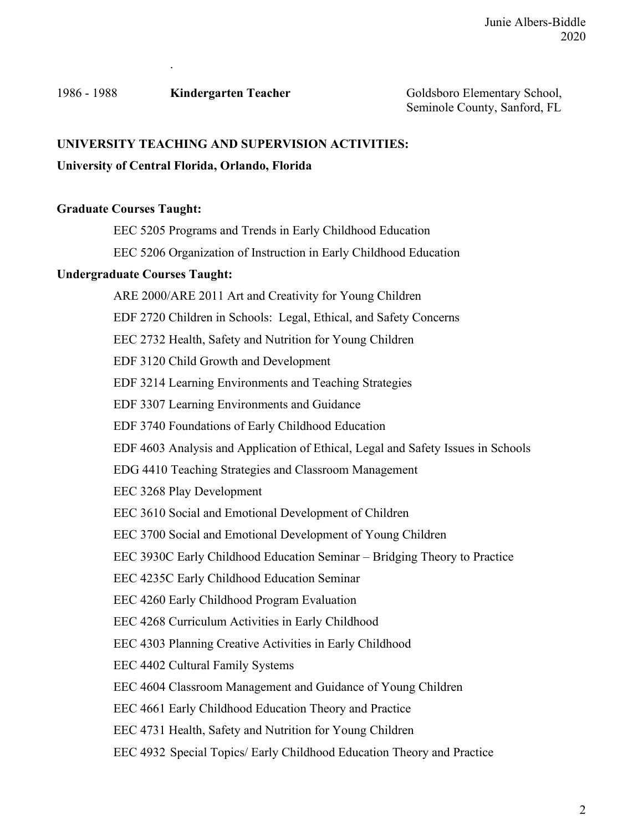1986 - 1988 **Kindergarten Teacher** Goldsboro Elementary School,

.

### **UNIVERSITY TEACHING AND SUPERVISION ACTIVITIES:**

### **University of Central Florida, Orlando, Florida**

### **Graduate Courses Taught:**

EEC 5205 Programs and Trends in Early Childhood Education

EEC 5206 Organization of Instruction in Early Childhood Education

### **Undergraduate Courses Taught:**

ARE 2000/ARE 2011 Art and Creativity for Young Children EDF 2720 Children in Schools: Legal, Ethical, and Safety Concerns EEC 2732 Health, Safety and Nutrition for Young Children EDF 3120 Child Growth and Development EDF 3214 Learning Environments and Teaching Strategies EDF 3307 Learning Environments and Guidance EDF 3740 Foundations of Early Childhood Education EDF 4603 Analysis and Application of Ethical, Legal and Safety Issues in Schools EDG 4410 Teaching Strategies and Classroom Management EEC 3268 Play Development EEC 3610 Social and Emotional Development of Children EEC 3700 Social and Emotional Development of Young Children EEC 3930C Early Childhood Education Seminar – Bridging Theory to Practice EEC 4235C Early Childhood Education Seminar EEC 4260 Early Childhood Program Evaluation EEC 4268 Curriculum Activities in Early Childhood EEC 4303 Planning Creative Activities in Early Childhood EEC 4402 Cultural Family Systems EEC 4604 Classroom Management and Guidance of Young Children EEC 4661 Early Childhood Education Theory and Practice EEC 4731 Health, Safety and Nutrition for Young Children EEC 4932 Special Topics/ Early Childhood Education Theory and Practice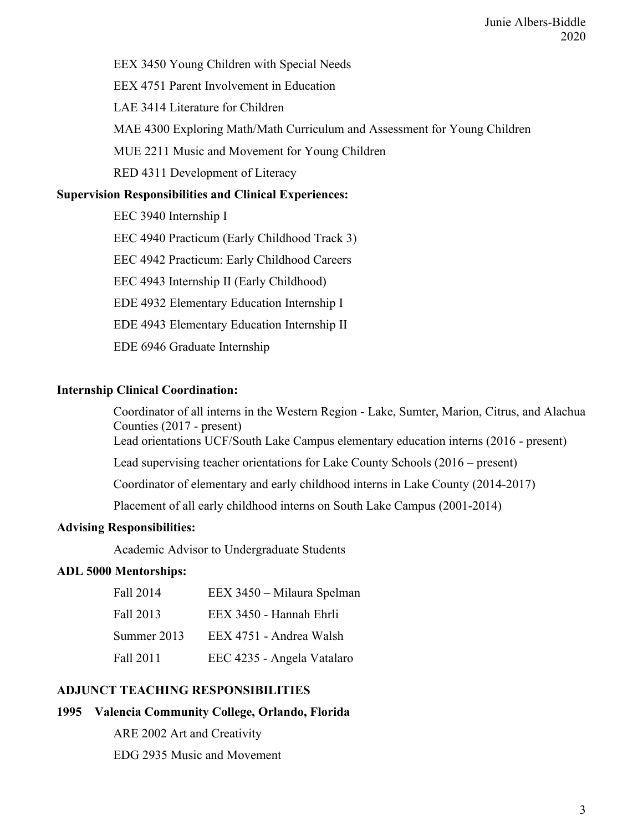EEX 3450 Young Children with Special Needs

EEX 4751 Parent Involvement in Education

LAE 3414 Literature for Children

MAE 4300 Exploring Math/Math Curriculum and Assessment for Young Children

MUE 2211 Music and Movement for Young Children

RED 4311 Development of Literacy

### **Supervision Responsibilities and Clinical Experiences:**

EEC 3940 Internship I EEC 4940 Practicum (Early Childhood Track 3) EEC 4942 Practicum: Early Childhood Careers EEC 4943 Internship II (Early Childhood) EDE 4932 Elementary Education Internship I EDE 4943 Elementary Education Internship II EDE 6946 Graduate Internship

### **Internship Clinical Coordination:**

Coordinator of all interns in the Western Region - Lake, Sumter, Marion, Citrus, and Alachua Counties (2017 - present) Lead orientations UCF/South Lake Campus elementary education interns (2016 - present) Lead supervising teacher orientations for Lake County Schools (2016 – present) Coordinator of elementary and early childhood interns in Lake County (2014-2017) Placement of all early childhood interns on South Lake Campus (2001-2014)

# **Advising Responsibilities:**

Academic Advisor to Undergraduate Students

### **ADL 5000 Mentorships:**

| Fall 2014   | EEX 3450 - Milaura Spelman |
|-------------|----------------------------|
| Fall 2013   | EEX 3450 - Hannah Ehrli    |
| Summer 2013 | EEX 4751 - Andrea Walsh    |
| Fall 2011   | EEC 4235 - Angela Vatalaro |

# **ADJUNCT TEACHING RESPONSIBILITIES**

# **1995 Valencia Community College, Orlando, Florida**

ARE 2002 Art and Creativity

EDG 2935 Music and Movement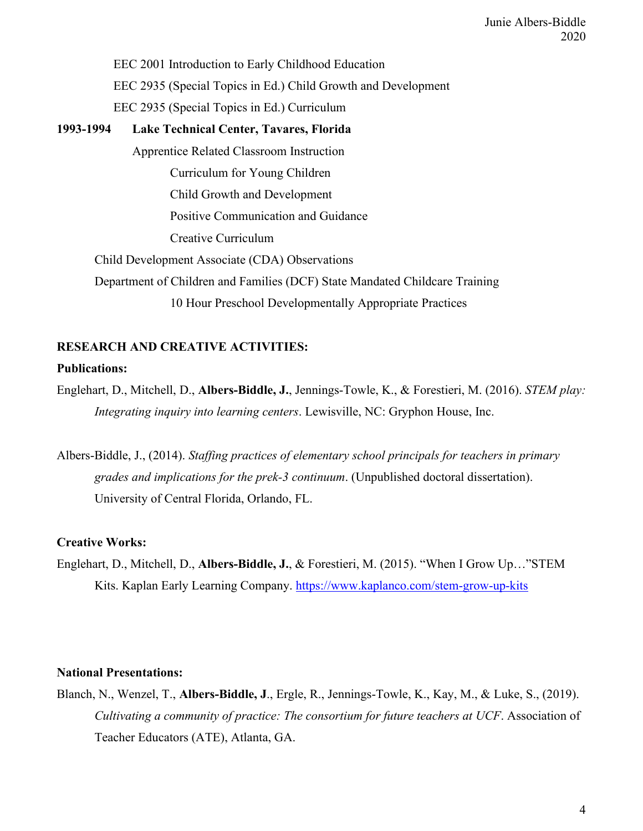EEC 2001 Introduction to Early Childhood Education EEC 2935 (Special Topics in Ed.) Child Growth and Development EEC 2935 (Special Topics in Ed.) Curriculum

# **1993-1994 Lake Technical Center, Tavares, Florida** Apprentice Related Classroom Instruction Curriculum for Young Children Child Growth and Development Positive Communication and Guidance Creative Curriculum Child Development Associate (CDA) Observations Department of Children and Families (DCF) State Mandated Childcare Training 10 Hour Preschool Developmentally Appropriate Practices

# **RESEARCH AND CREATIVE ACTIVITIES: Publications:**

Englehart, D., Mitchell, D., **Albers-Biddle, J.**, Jennings-Towle, K., & Forestieri, M. (2016). *STEM play: Integrating inquiry into learning centers*. Lewisville, NC: Gryphon House, Inc.

Albers-Biddle, J., (2014). *Staffing practices of elementary school principals for teachers in primary grades and implications for the prek-3 continuum*. (Unpublished doctoral dissertation). University of Central Florida, Orlando, FL.

# **Creative Works:**

Englehart, D., Mitchell, D., **Albers-Biddle, J.**, & Forestieri, M. (2015). "When I Grow Up…"STEM Kits. Kaplan Early Learning Company.<https://www.kaplanco.com/stem-grow-up-kits>

# **National Presentations:**

Blanch, N., Wenzel, T., **Albers-Biddle, J**., Ergle, R., Jennings-Towle, K., Kay, M., & Luke, S., (2019). *Cultivating a community of practice: The consortium for future teachers at UCF*. Association of Teacher Educators (ATE), Atlanta, GA.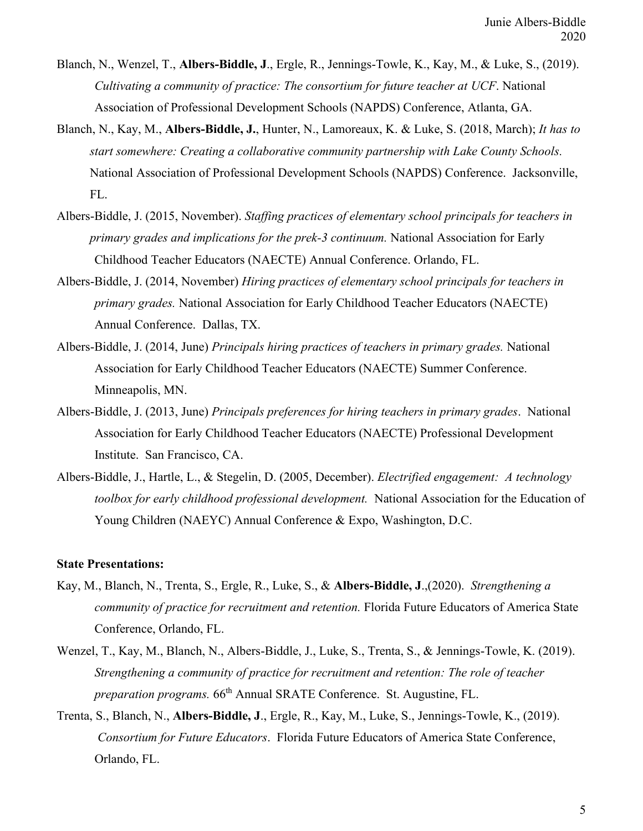- Blanch, N., Wenzel, T., **Albers-Biddle, J**., Ergle, R., Jennings-Towle, K., Kay, M., & Luke, S., (2019). *Cultivating a community of practice: The consortium for future teacher at UCF*. National Association of Professional Development Schools (NAPDS) Conference, Atlanta, GA.
- Blanch, N., Kay, M., **Albers-Biddle, J.**, Hunter, N., Lamoreaux, K. & Luke, S. (2018, March); *It has to start somewhere: Creating a collaborative community partnership with Lake County Schools.* National Association of Professional Development Schools (NAPDS) Conference. Jacksonville, FL.
- Albers-Biddle, J. (2015, November). *Staffing practices of elementary school principals for teachers in primary grades and implications for the prek-3 continuum.* National Association for Early Childhood Teacher Educators (NAECTE) Annual Conference. Orlando, FL.
- Albers-Biddle, J. (2014, November) *Hiring practices of elementary school principals for teachers in primary grades.* National Association for Early Childhood Teacher Educators (NAECTE) Annual Conference. Dallas, TX.
- Albers-Biddle, J. (2014, June) *Principals hiring practices of teachers in primary grades.* National Association for Early Childhood Teacher Educators (NAECTE) Summer Conference. Minneapolis, MN.
- Albers-Biddle, J. (2013, June) *Principals preferences for hiring teachers in primary grades*. National Association for Early Childhood Teacher Educators (NAECTE) Professional Development Institute. San Francisco, CA.
- Albers-Biddle, J., Hartle, L., & Stegelin, D. (2005, December). *Electrified engagement: A technology toolbox for early childhood professional development.* National Association for the Education of Young Children (NAEYC) Annual Conference & Expo, Washington, D.C.

#### **State Presentations:**

- Kay, M., Blanch, N., Trenta, S., Ergle, R., Luke, S., & **Albers-Biddle, J**.,(2020). *Strengthening a community of practice for recruitment and retention.* Florida Future Educators of America State Conference, Orlando, FL.
- Wenzel, T., Kay, M., Blanch, N., Albers-Biddle, J., Luke, S., Trenta, S., & Jennings-Towle, K. (2019). *Strengthening a community of practice for recruitment and retention: The role of teacher preparation programs.* 66<sup>th</sup> Annual SRATE Conference. St. Augustine, FL.
- Trenta, S., Blanch, N., **Albers-Biddle, J**., Ergle, R., Kay, M., Luke, S., Jennings-Towle, K., (2019). *Consortium for Future Educators*. Florida Future Educators of America State Conference, Orlando, FL.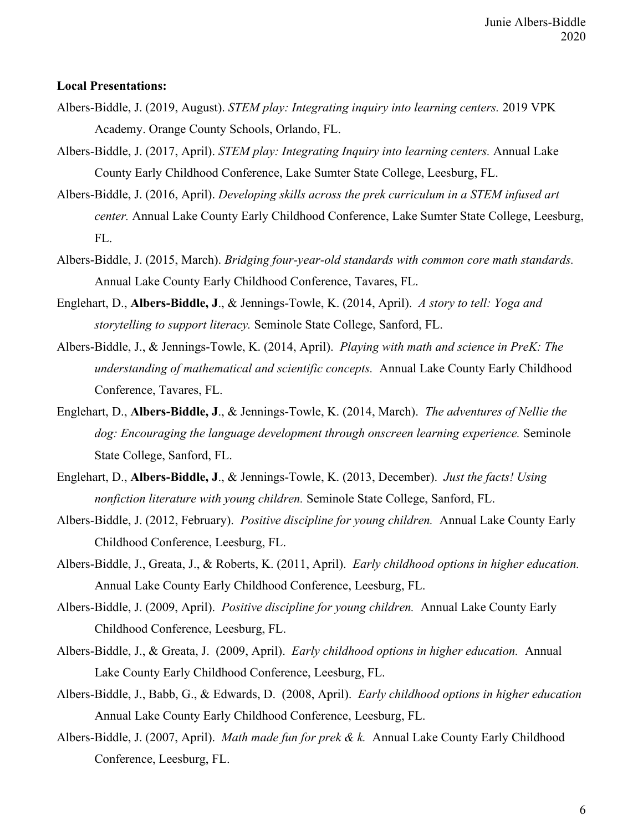### **Local Presentations:**

- Albers-Biddle, J. (2019, August). *STEM play: Integrating inquiry into learning centers.* 2019 VPK Academy. Orange County Schools, Orlando, FL.
- Albers-Biddle, J. (2017, April). *STEM play: Integrating Inquiry into learning centers.* Annual Lake County Early Childhood Conference, Lake Sumter State College, Leesburg, FL.
- Albers-Biddle, J. (2016, April). *Developing skills across the prek curriculum in a STEM infused art center.* Annual Lake County Early Childhood Conference, Lake Sumter State College, Leesburg, FL.
- Albers-Biddle, J. (2015, March). *Bridging four-year-old standards with common core math standards.*  Annual Lake County Early Childhood Conference, Tavares, FL.
- Englehart, D., **Albers-Biddle, J**., & Jennings-Towle, K. (2014, April). *A story to tell: Yoga and storytelling to support literacy.* Seminole State College, Sanford, FL.
- Albers-Biddle, J., & Jennings-Towle, K. (2014, April). *Playing with math and science in PreK: The understanding of mathematical and scientific concepts.* Annual Lake County Early Childhood Conference, Tavares, FL.
- Englehart, D., **Albers-Biddle, J**., & Jennings-Towle, K. (2014, March). *The adventures of Nellie the dog: Encouraging the language development through onscreen learning experience.* Seminole State College, Sanford, FL.
- Englehart, D., **Albers-Biddle, J**., & Jennings-Towle, K. (2013, December). *Just the facts! Using nonfiction literature with young children.* Seminole State College, Sanford, FL.
- Albers-Biddle, J. (2012, February). *Positive discipline for young children.* Annual Lake County Early Childhood Conference, Leesburg, FL.
- Albers-Biddle, J., Greata, J., & Roberts, K. (2011, April). *Early childhood options in higher education.* Annual Lake County Early Childhood Conference, Leesburg, FL.
- Albers-Biddle, J. (2009, April). *Positive discipline for young children.* Annual Lake County Early Childhood Conference, Leesburg, FL.
- Albers-Biddle, J., & Greata, J. (2009, April). *Early childhood options in higher education.* Annual Lake County Early Childhood Conference, Leesburg, FL.
- Albers-Biddle, J., Babb, G., & Edwards, D. (2008, April). *Early childhood options in higher education* Annual Lake County Early Childhood Conference, Leesburg, FL.
- Albers-Biddle, J. (2007, April). *Math made fun for prek & k.* Annual Lake County Early Childhood Conference, Leesburg, FL.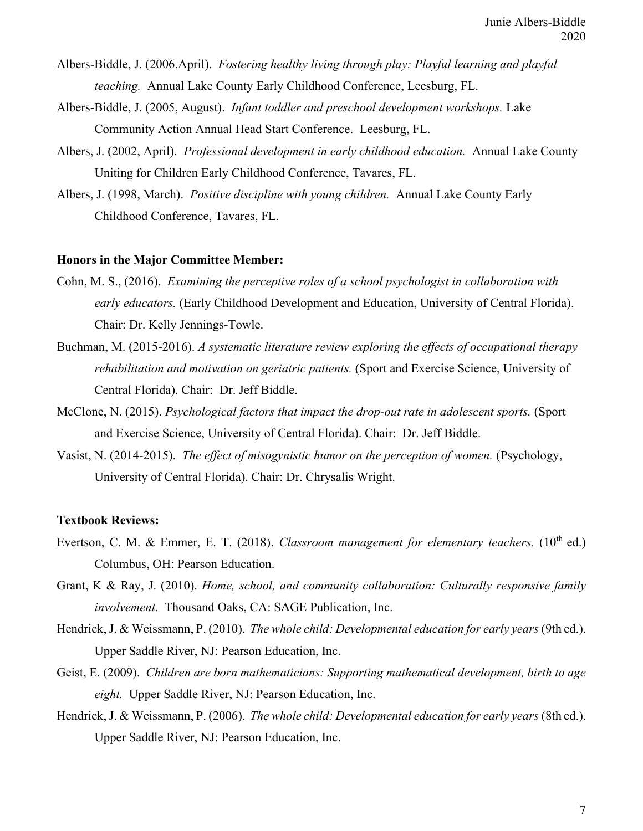- Albers-Biddle, J. (2006.April). *Fostering healthy living through play: Playful learning and playful teaching.* Annual Lake County Early Childhood Conference, Leesburg, FL.
- Albers-Biddle, J. (2005, August). *Infant toddler and preschool development workshops.* Lake Community Action Annual Head Start Conference. Leesburg, FL.
- Albers, J. (2002, April). *Professional development in early childhood education.* Annual Lake County Uniting for Children Early Childhood Conference, Tavares, FL.
- Albers, J. (1998, March). *Positive discipline with young children.* Annual Lake County Early Childhood Conference, Tavares, FL.

#### **Honors in the Major Committee Member:**

- Cohn, M. S., (2016). *Examining the perceptive roles of a school psychologist in collaboration with early educators.* (Early Childhood Development and Education, University of Central Florida). Chair: Dr. Kelly Jennings-Towle.
- Buchman, M. (2015-2016). *A systematic literature review exploring the effects of occupational therapy rehabilitation and motivation on geriatric patients.* (Sport and Exercise Science, University of Central Florida). Chair: Dr. Jeff Biddle.
- McClone, N. (2015). *Psychological factors that impact the drop-out rate in adolescent sports.* (Sport and Exercise Science, University of Central Florida). Chair: Dr. Jeff Biddle.
- Vasist, N. (2014-2015). *The effect of misogynistic humor on the perception of women*. (Psychology, University of Central Florida). Chair: Dr. Chrysalis Wright.

#### **Textbook Reviews:**

- Evertson, C. M. & Emmer, E. T. (2018). *Classroom management for elementary teachers.* (10<sup>th</sup> ed.) Columbus, OH: Pearson Education.
- Grant, K & Ray, J. (2010). *Home, school, and community collaboration: Culturally responsive family involvement*. Thousand Oaks, CA: SAGE Publication, Inc.
- Hendrick, J. & Weissmann, P. (2010). *The whole child: Developmental education for early years* (9th ed.). Upper Saddle River, NJ: Pearson Education, Inc.
- Geist, E. (2009). *Children are born mathematicians: Supporting mathematical development, birth to age eight.* Upper Saddle River, NJ: Pearson Education, Inc.
- Hendrick, J. & Weissmann, P. (2006). *The whole child: Developmental education for early years* (8th ed.). Upper Saddle River, NJ: Pearson Education, Inc.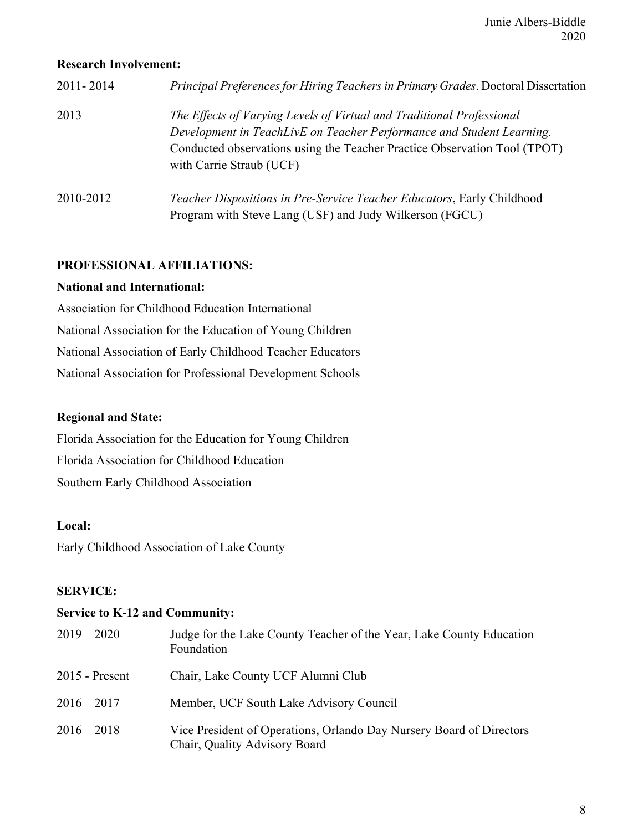### **Research Involvement:**

| 2011-2014 | Principal Preferences for Hiring Teachers in Primary Grades. Doctoral Dissertation                                                                                                                                                                      |
|-----------|---------------------------------------------------------------------------------------------------------------------------------------------------------------------------------------------------------------------------------------------------------|
| 2013      | The Effects of Varying Levels of Virtual and Traditional Professional<br>Development in TeachLivE on Teacher Performance and Student Learning.<br>Conducted observations using the Teacher Practice Observation Tool (TPOT)<br>with Carrie Straub (UCF) |
| 2010-2012 | <i>Teacher Dispositions in Pre-Service Teacher Educators, Early Childhood</i><br>Program with Steve Lang (USF) and Judy Wilkerson (FGCU)                                                                                                                |

# **PROFESSIONAL AFFILIATIONS:**

### **National and International:**

Association for Childhood Education International National Association for the Education of Young Children National Association of Early Childhood Teacher Educators National Association for Professional Development Schools

# **Regional and State:**

Florida Association for the Education for Young Children Florida Association for Childhood Education Southern Early Childhood Association

# **Local:**

Early Childhood Association of Lake County

# **SERVICE:**

# **Service to K-12 and Community:**

| $2019 - 2020$    | Judge for the Lake County Teacher of the Year, Lake County Education<br>Foundation                    |
|------------------|-------------------------------------------------------------------------------------------------------|
| $2015$ - Present | Chair, Lake County UCF Alumni Club                                                                    |
| $2016 - 2017$    | Member, UCF South Lake Advisory Council                                                               |
| $2016 - 2018$    | Vice President of Operations, Orlando Day Nursery Board of Directors<br>Chair, Quality Advisory Board |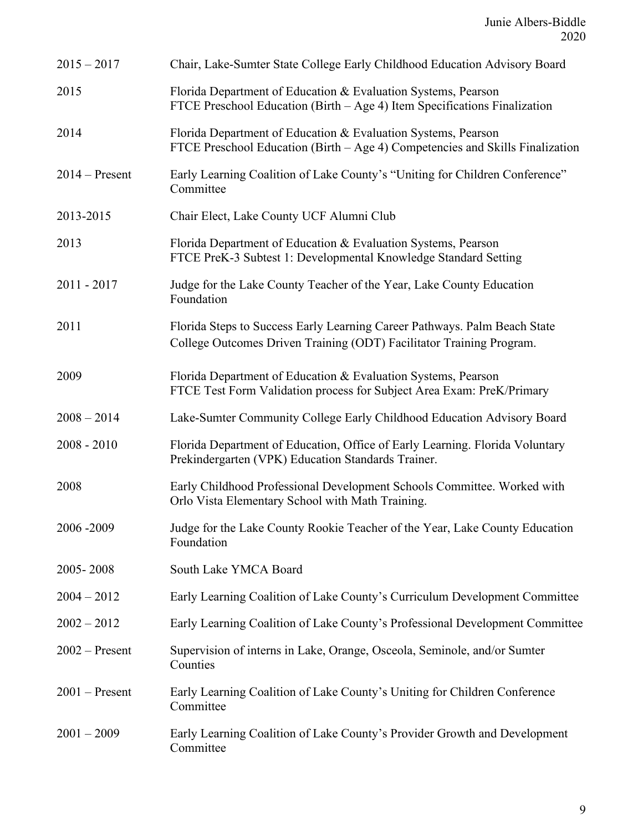| $2015 - 2017$    | Chair, Lake-Sumter State College Early Childhood Education Advisory Board                                                                         |
|------------------|---------------------------------------------------------------------------------------------------------------------------------------------------|
| 2015             | Florida Department of Education & Evaluation Systems, Pearson<br>FTCE Preschool Education (Birth – Age 4) Item Specifications Finalization        |
| 2014             | Florida Department of Education & Evaluation Systems, Pearson<br>FTCE Preschool Education (Birth – Age 4) Competencies and Skills Finalization    |
| $2014 - Present$ | Early Learning Coalition of Lake County's "Uniting for Children Conference"<br>Committee                                                          |
| 2013-2015        | Chair Elect, Lake County UCF Alumni Club                                                                                                          |
| 2013             | Florida Department of Education & Evaluation Systems, Pearson<br>FTCE PreK-3 Subtest 1: Developmental Knowledge Standard Setting                  |
| $2011 - 2017$    | Judge for the Lake County Teacher of the Year, Lake County Education<br>Foundation                                                                |
| 2011             | Florida Steps to Success Early Learning Career Pathways. Palm Beach State<br>College Outcomes Driven Training (ODT) Facilitator Training Program. |
| 2009             | Florida Department of Education & Evaluation Systems, Pearson<br>FTCE Test Form Validation process for Subject Area Exam: PreK/Primary            |
| $2008 - 2014$    | Lake-Sumter Community College Early Childhood Education Advisory Board                                                                            |
| $2008 - 2010$    | Florida Department of Education, Office of Early Learning. Florida Voluntary<br>Prekindergarten (VPK) Education Standards Trainer.                |
| 2008             | Early Childhood Professional Development Schools Committee. Worked with<br>Orlo Vista Elementary School with Math Training.                       |
| 2006-2009        | Judge for the Lake County Rookie Teacher of the Year, Lake County Education<br>Foundation                                                         |
| 2005-2008        | South Lake YMCA Board                                                                                                                             |
| $2004 - 2012$    | Early Learning Coalition of Lake County's Curriculum Development Committee                                                                        |
| $2002 - 2012$    | Early Learning Coalition of Lake County's Professional Development Committee                                                                      |
| $2002$ – Present | Supervision of interns in Lake, Orange, Osceola, Seminole, and/or Sumter<br>Counties                                                              |
| $2001$ – Present | Early Learning Coalition of Lake County's Uniting for Children Conference<br>Committee                                                            |
| $2001 - 2009$    | Early Learning Coalition of Lake County's Provider Growth and Development<br>Committee                                                            |